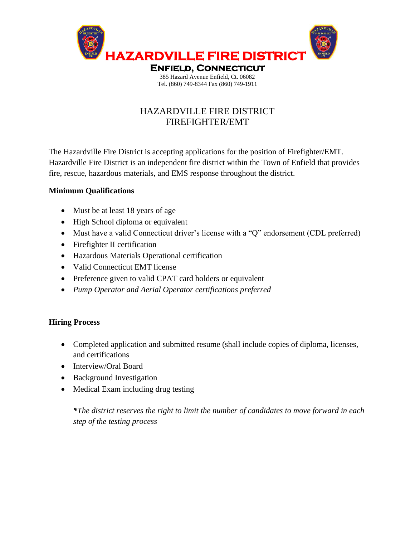

## HAZARDVILLE FIRE DISTRICT FIREFIGHTER/EMT

The Hazardville Fire District is accepting applications for the position of Firefighter/EMT. Hazardville Fire District is an independent fire district within the Town of Enfield that provides fire, rescue, hazardous materials, and EMS response throughout the district.

## **Minimum Qualifications**

- Must be at least 18 years of age
- High School diploma or equivalent
- Must have a valid Connecticut driver's license with a "Q" endorsement (CDL preferred)
- Firefighter II certification
- Hazardous Materials Operational certification
- Valid Connecticut EMT license
- Preference given to valid CPAT card holders or equivalent
- *Pump Operator and Aerial Operator certifications preferred*

## **Hiring Process**

- Completed application and submitted resume (shall include copies of diploma, licenses, and certifications
- Interview/Oral Board
- Background Investigation
- Medical Exam including drug testing

*\*The district reserves the right to limit the number of candidates to move forward in each step of the testing process*